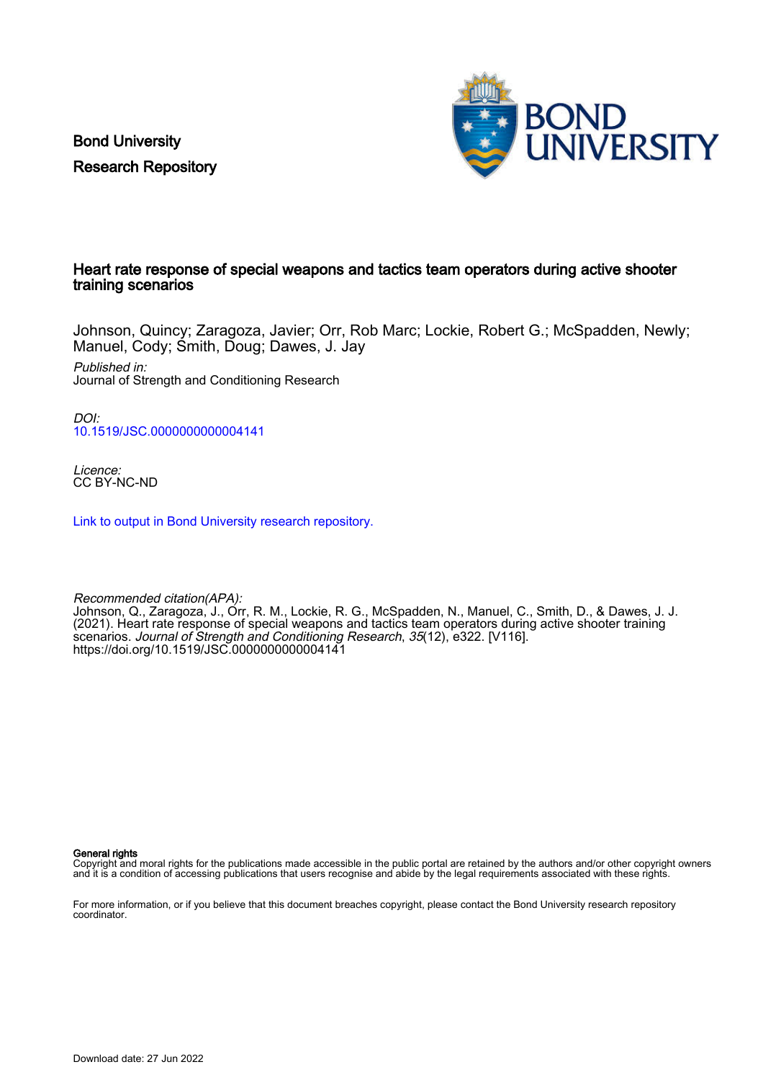Bond University Research Repository



#### Heart rate response of special weapons and tactics team operators during active shooter training scenarios

Johnson, Quincy; Zaragoza, Javier; Orr, Rob Marc; Lockie, Robert G.; McSpadden, Newly; Manuel, Cody; Smith, Doug; Dawes, J. Jay

Published in: Journal of Strength and Conditioning Research

DOI: [10.1519/JSC.0000000000004141](https://doi.org/10.1519/JSC.0000000000004141)

Licence: CC BY-NC-ND

[Link to output in Bond University research repository.](https://research.bond.edu.au/en/publications/d974c1b0-9eb9-4835-b38b-dd2460eeda73)

Recommended citation(APA): Johnson, Q., Zaragoza, J., Orr, R. M., Lockie, R. G., McSpadden, N., Manuel, C., Smith, D., & Dawes, J. J. (2021). Heart rate response of special weapons and tactics team operators during active shooter training scenarios. Journal of Strength and Conditioning Research, 35(12), e322. [V116]. <https://doi.org/10.1519/JSC.0000000000004141>

General rights

Copyright and moral rights for the publications made accessible in the public portal are retained by the authors and/or other copyright owners and it is a condition of accessing publications that users recognise and abide by the legal requirements associated with these rights.

For more information, or if you believe that this document breaches copyright, please contact the Bond University research repository coordinator.